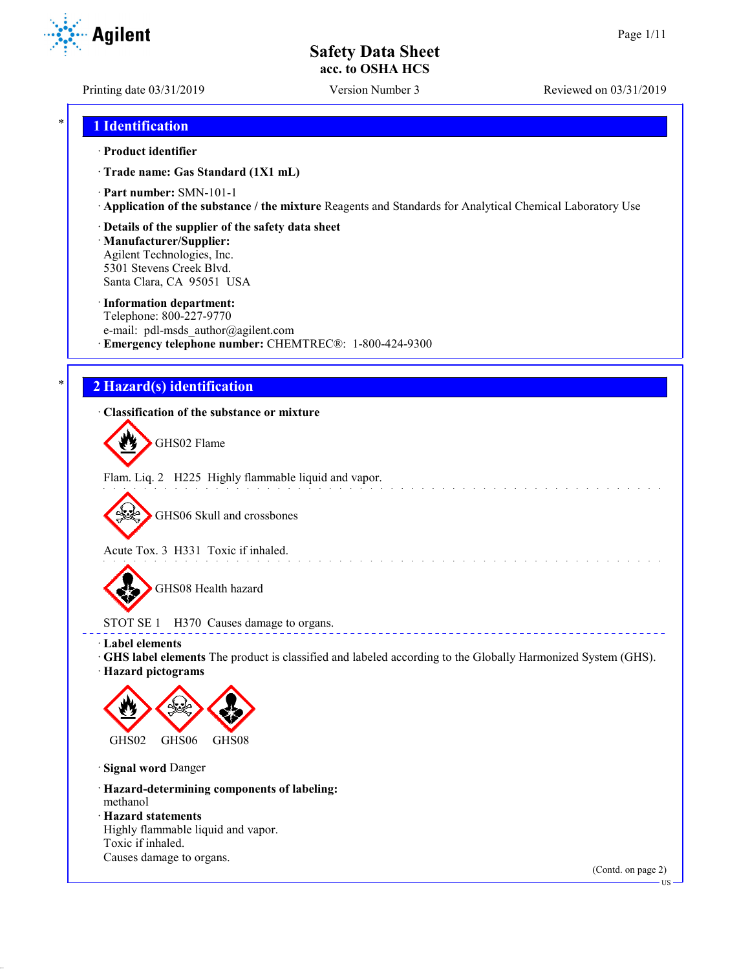**Agilent** 

Printing date 03/31/2019 Version Number 3 Reviewed on 03/31/2019

## \* **1 Identification**

#### · **Product identifier**

· **Trade name: Gas Standard (1X1 mL)**

- · **Part number:** SMN-101-1
- · **Application of the substance / the mixture** Reagents and Standards for Analytical Chemical Laboratory Use

#### · **Details of the supplier of the safety data sheet**

· **Manufacturer/Supplier:** Agilent Technologies, Inc. 5301 Stevens Creek Blvd. Santa Clara, CA 95051 USA

#### · **Information department:**

Telephone: 800-227-9770 e-mail: pdl-msds author@agilent.com · **Emergency telephone number:** CHEMTREC®: 1-800-424-9300

## \* **2 Hazard(s) identification**

#### · **Classification of the substance or mixture**

GHS02 Flame

Flam. Liq. 2 H225 Highly flammable liquid and vapor.

GHS06 Skull and crossbones

Acute Tox. 3 H331 Toxic if inhaled.

GHS08 Health hazard

## STOT SE 1 H370 Causes damage to organs.

· **Label elements**

· **GHS label elements** The product is classified and labeled according to the Globally Harmonized System (GHS).

and the state of the state of the

**ELECT** 

· **Hazard pictograms**



· **Signal word** Danger

· **Hazard-determining components of labeling:** methanol

· **Hazard statements**

Highly flammable liquid and vapor. Toxic if inhaled. Causes damage to organs.

(Contd. on page 2)

US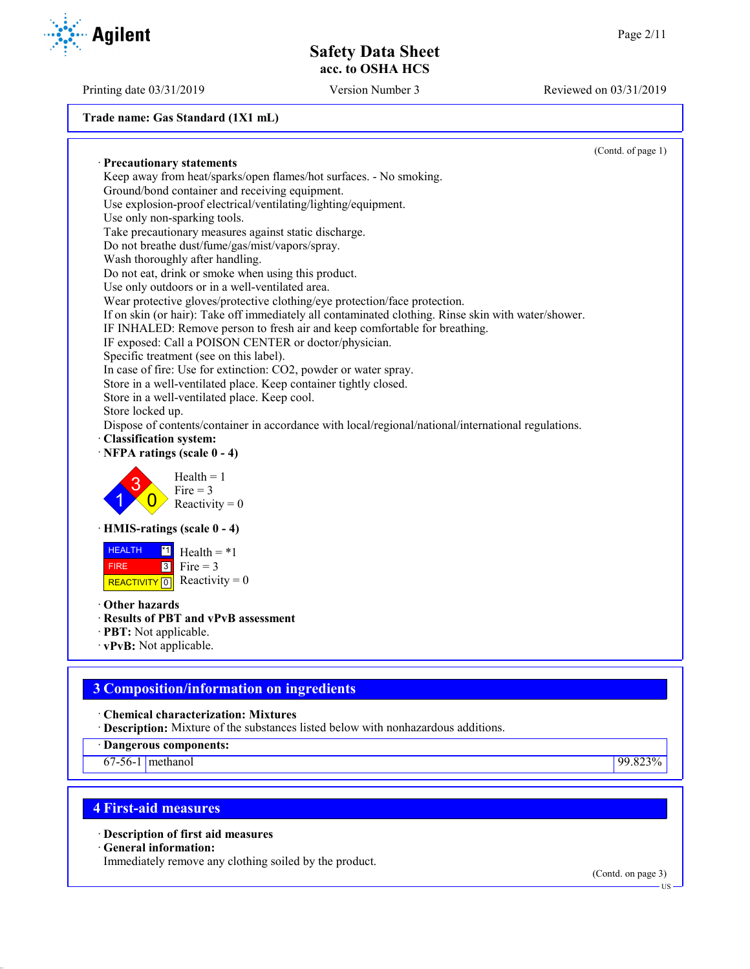Printing date 03/31/2019 Version Number 3 Reviewed on 03/31/2019

**Trade name: Gas Standard (1X1 mL)** (Contd. of page 1) · **Precautionary statements** Keep away from heat/sparks/open flames/hot surfaces. - No smoking. Ground/bond container and receiving equipment. Use explosion-proof electrical/ventilating/lighting/equipment. Use only non-sparking tools. Take precautionary measures against static discharge. Do not breathe dust/fume/gas/mist/vapors/spray. Wash thoroughly after handling. Do not eat, drink or smoke when using this product. Use only outdoors or in a well-ventilated area. Wear protective gloves/protective clothing/eye protection/face protection. If on skin (or hair): Take off immediately all contaminated clothing. Rinse skin with water/shower. IF INHALED: Remove person to fresh air and keep comfortable for breathing. IF exposed: Call a POISON CENTER or doctor/physician. Specific treatment (see on this label). In case of fire: Use for extinction: CO2, powder or water spray. Store in a well-ventilated place. Keep container tightly closed. Store in a well-ventilated place. Keep cool. Store locked up. Dispose of contents/container in accordance with local/regional/national/international regulations. · **Classification system:** · **NFPA ratings (scale 0 - 4)** 1 3  $\overline{0}$  $Health = 1$  $Fire = 3$ Reactivity  $= 0$ · **HMIS-ratings (scale 0 - 4) HEALTH**  FIRE REACTIVITY  $\boxed{0}$  Reactivity = 0  $\overline{1}$  Health = \*1  $3$  Fire = 3 · **Other hazards** · **Results of PBT and vPvB assessment** · **PBT:** Not applicable. · **vPvB:** Not applicable. **3 Composition/information on ingredients** · **Chemical characterization: Mixtures** · **Description:** Mixture of the substances listed below with nonhazardous additions. · **Dangerous components:** 67-56-1 methanol 99.823% **4 First-aid measures**

· **Description of first aid measures**

· **General information:**

Immediately remove any clothing soiled by the product.

(Contd. on page 3)

US

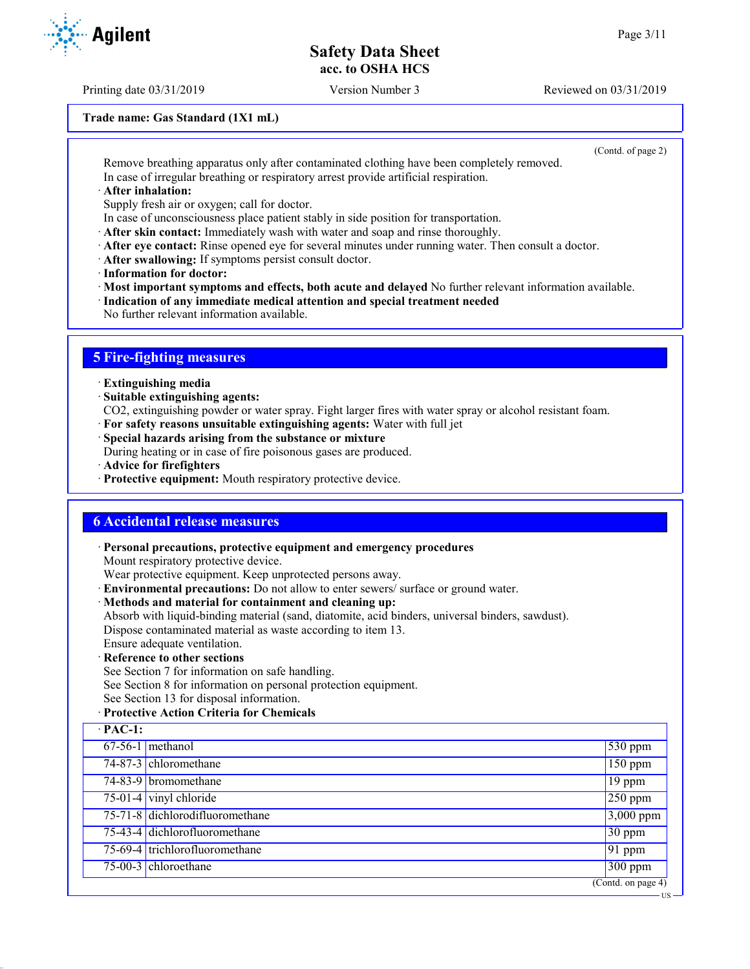Printing date 03/31/2019 Version Number 3 Reviewed on 03/31/2019

## **Trade name: Gas Standard (1X1 mL)**

(Contd. of page 2)

US

Remove breathing apparatus only after contaminated clothing have been completely removed. In case of irregular breathing or respiratory arrest provide artificial respiration.

· **After inhalation:**

Supply fresh air or oxygen; call for doctor.

In case of unconsciousness place patient stably in side position for transportation.

· **After skin contact:** Immediately wash with water and soap and rinse thoroughly.

- · **After eye contact:** Rinse opened eye for several minutes under running water. Then consult a doctor.
- · **After swallowing:** If symptoms persist consult doctor.
- · **Information for doctor:**

· **Most important symptoms and effects, both acute and delayed** No further relevant information available.

· **Indication of any immediate medical attention and special treatment needed**

No further relevant information available.

## **5 Fire-fighting measures**

· **Extinguishing media**

· **Suitable extinguishing agents:**

CO2, extinguishing powder or water spray. Fight larger fires with water spray or alcohol resistant foam.

- · **For safety reasons unsuitable extinguishing agents:** Water with full jet
- · **Special hazards arising from the substance or mixture**

During heating or in case of fire poisonous gases are produced.

- · **Advice for firefighters**
- · **Protective equipment:** Mouth respiratory protective device.

#### **6 Accidental release measures**

· **Personal precautions, protective equipment and emergency procedures**

Mount respiratory protective device.

Wear protective equipment. Keep unprotected persons away.

- · **Environmental precautions:** Do not allow to enter sewers/ surface or ground water.
- · **Methods and material for containment and cleaning up:**

Absorb with liquid-binding material (sand, diatomite, acid binders, universal binders, sawdust). Dispose contaminated material as waste according to item 13.

- Ensure adequate ventilation.
- · **Reference to other sections**

See Section 7 for information on safe handling.

See Section 8 for information on personal protection equipment.

See Section 13 for disposal information.

#### · **Protective Action Criteria for Chemicals**

| $\cdot$ PAC-1: |                                 |                                        |
|----------------|---------------------------------|----------------------------------------|
|                | $67-56-1$ methanol              | $530$ ppm                              |
|                | 74-87-3 chloromethane           | $150$ ppm                              |
|                | 74-83-9 bromomethane            | 19 ppm                                 |
|                | $75-01-4$ vinyl chloride        | $250$ ppm                              |
|                | 75-71-8 dichlorodifluoromethane | $3,000$ ppm                            |
|                | 75-43-4 dichlorofluoromethane   | $30$ ppm                               |
|                | 75-69-4 trichlorofluoromethane  | $ 91$ ppm                              |
|                | 75-00-3 chloroethane            | $\sqrt{300}$ ppm                       |
|                |                                 | $\overline{(\text{Contd. on page 4})}$ |

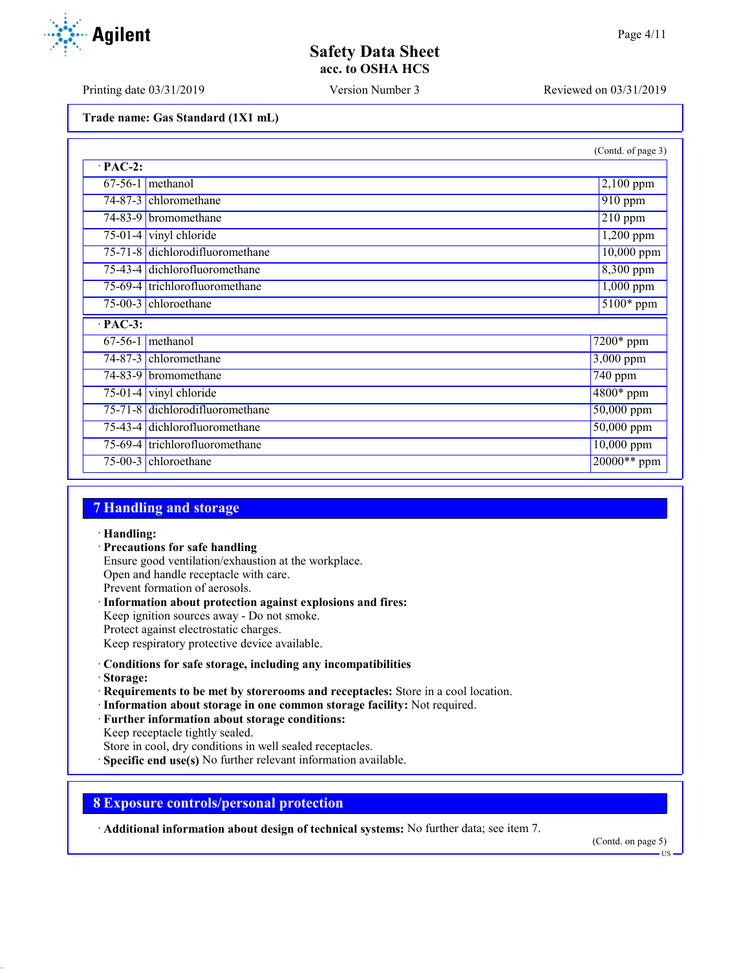Printing date 03/31/2019 Version Number 3 Reviewed on 03/31/2019

**Trade name: Gas Standard (1X1 mL)**

|                |                                 | (Contd. of page 3)     |
|----------------|---------------------------------|------------------------|
| $\cdot$ PAC-2: |                                 |                        |
|                | $67-56-1$ methanol              | $\overline{2,}100$ ppm |
|                | 74-87-3 chloromethane           | $\overline{9}10$ ppm   |
|                | 74-83-9 bromomethane            | $210$ ppm              |
|                | 75-01-4 vinyl chloride          | 1,200 ppm              |
|                | 75-71-8 dichlorodifluoromethane | 10,000 ppm             |
|                | 75-43-4 dichlorofluoromethane   | $8,300$ ppm            |
|                | 75-69-4 trichlorofluoromethane  | $1,000$ ppm            |
|                | 75-00-3 chloroethane            | $5100*$ ppm            |
| $·$ PAC-3:     |                                 |                        |
|                | $67-56-1$ methanol              | $7200*$ ppm            |
|                | 74-87-3 chloromethane           | $\overline{3,}000$ ppm |
|                | 74-83-9 bromomethane            | $740$ ppm              |
|                | $75-01-4$ vinyl chloride        | $4800*$ ppm            |
|                | 75-71-8 dichlorodifluoromethane | 50,000 ppm             |
|                | 75-43-4 dichlorofluoromethane   | 50,000 ppm             |
|                | 75-69-4 trichlorofluoromethane  | 10,000 ppm             |
|                | 75-00-3 chloroethane            | $20000**$ ppm          |

## **7 Handling and storage**

#### · **Handling:**

- · **Precautions for safe handling**
- Ensure good ventilation/exhaustion at the workplace.

Open and handle receptacle with care.

Prevent formation of aerosols.

## · **Information about protection against explosions and fires:**

Keep ignition sources away - Do not smoke.

- Protect against electrostatic charges.
- Keep respiratory protective device available.
- · **Conditions for safe storage, including any incompatibilities**
- · **Storage:**
- · **Requirements to be met by storerooms and receptacles:** Store in a cool location.
- · **Information about storage in one common storage facility:** Not required.
- · **Further information about storage conditions:**
- Keep receptacle tightly sealed.
- Store in cool, dry conditions in well sealed receptacles.

· **Specific end use(s)** No further relevant information available.

## **8 Exposure controls/personal protection**

· **Additional information about design of technical systems:** No further data; see item 7.

(Contd. on page 5)

US

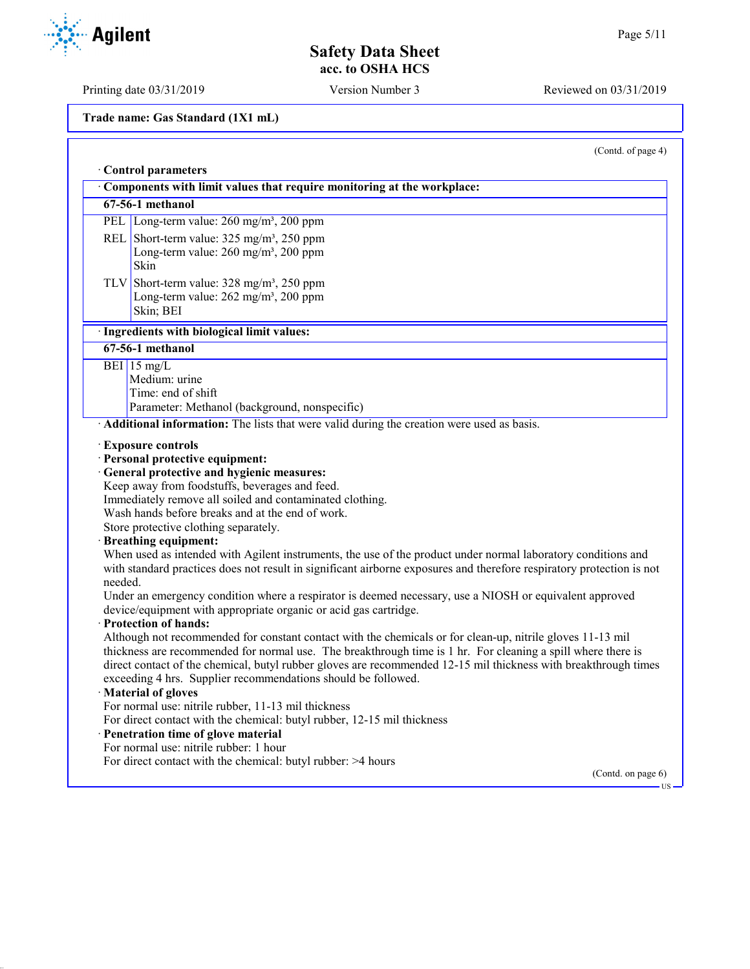Printing date 03/31/2019 Version Number 3 Reviewed on 03/31/2019

**Trade name: Gas Standard (1X1 mL)**

(Contd. of page 4)

|         | Components with limit values that require monitoring at the workplace:                                                |
|---------|-----------------------------------------------------------------------------------------------------------------------|
|         | $67-56-1$ methanol                                                                                                    |
|         | PEL Long-term value: 260 mg/m <sup>3</sup> , 200 ppm                                                                  |
|         | REL Short-term value: $325 \text{ mg/m}^3$ , $250 \text{ ppm}$                                                        |
|         | Long-term value: $260$ mg/m <sup>3</sup> , $200$ ppm                                                                  |
|         | Skin                                                                                                                  |
|         | TLV Short-term value: $328 \text{ mg/m}^3$ , $250 \text{ ppm}$                                                        |
|         | Long-term value: $262$ mg/m <sup>3</sup> , $200$ ppm                                                                  |
|         | Skin; BEI                                                                                                             |
|         | · Ingredients with biological limit values:                                                                           |
|         | $67-56-1$ methanol                                                                                                    |
|         | BEI $15 \text{ mg/L}$                                                                                                 |
|         | Medium: urine                                                                                                         |
|         | Time: end of shift                                                                                                    |
|         | Parameter: Methanol (background, nonspecific)                                                                         |
|         | · Additional information: The lists that were valid during the creation were used as basis.                           |
|         | <b>Exposure controls</b>                                                                                              |
|         | · Personal protective equipment:                                                                                      |
|         | · General protective and hygienic measures:                                                                           |
|         | Keep away from foodstuffs, beverages and feed.                                                                        |
|         | Immediately remove all soiled and contaminated clothing.                                                              |
|         | Wash hands before breaks and at the end of work.                                                                      |
|         | Store protective clothing separately.                                                                                 |
|         | · Breathing equipment:                                                                                                |
|         | When used as intended with Agilent instruments, the use of the product under normal laboratory conditions and         |
|         | with standard practices does not result in significant airborne exposures and therefore respiratory protection is not |
| needed. |                                                                                                                       |
|         | Under an emergency condition where a respirator is deemed necessary, use a NIOSH or equivalent approved               |
|         | device/equipment with appropriate organic or acid gas cartridge.                                                      |
|         | · Protection of hands:                                                                                                |
|         | Although not recommended for constant contact with the chemicals or for clean-up, nitrile gloves 11-13 mil            |
|         | thickness are recommended for normal use. The breakthrough time is 1 hr. For cleaning a spill where there is          |
|         | direct contact of the chemical, butyl rubber gloves are recommended 12-15 mil thickness with breakthrough times       |
|         | exceeding 4 hrs. Supplier recommendations should be followed.                                                         |
|         | · Material of gloves                                                                                                  |
|         | For normal use: nitrile rubber, 11-13 mil thickness                                                                   |
|         | For direct contact with the chemical: butyl rubber, 12-15 mil thickness                                               |
|         | · Penetration time of glove material                                                                                  |
|         |                                                                                                                       |
|         | For normal use: nitrile rubber: 1 hour                                                                                |
|         | For direct contact with the chemical: butyl rubber: >4 hours<br>(Contd. on page 6)                                    |

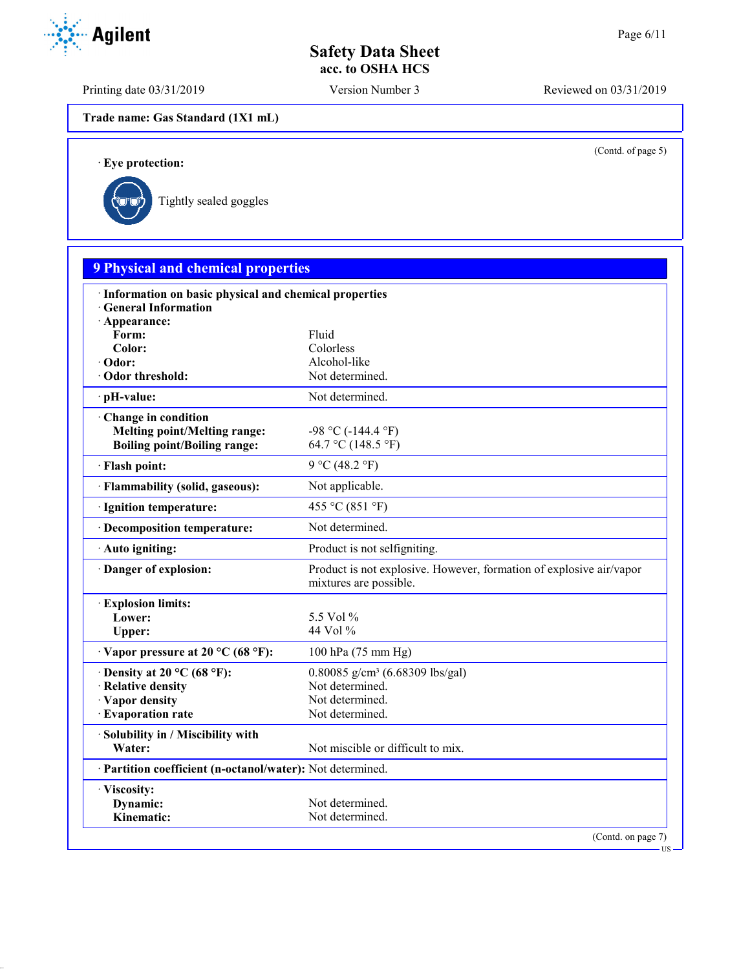Printing date 03/31/2019 Version Number 3 Reviewed on 03/31/2019

**Trade name: Gas Standard (1X1 mL)**

(Contd. of page 5)

· **Eye protection:**



| <b>9 Physical and chemical properties</b>                                                         |                                                                                               |  |
|---------------------------------------------------------------------------------------------------|-----------------------------------------------------------------------------------------------|--|
| · Information on basic physical and chemical properties<br><b>General Information</b>             |                                                                                               |  |
| · Appearance:<br>Form:                                                                            | Fluid                                                                                         |  |
| Color:                                                                                            | Colorless                                                                                     |  |
| · Odor:                                                                                           | Alcohol-like                                                                                  |  |
| Odor threshold:                                                                                   | Not determined.                                                                               |  |
|                                                                                                   |                                                                                               |  |
| · pH-value:                                                                                       | Not determined.                                                                               |  |
| Change in condition<br><b>Melting point/Melting range:</b><br><b>Boiling point/Boiling range:</b> | $-98$ °C ( $-144.4$ °F)<br>64.7 °C (148.5 °F)                                                 |  |
| · Flash point:                                                                                    | 9 °C (48.2 °F)                                                                                |  |
| · Flammability (solid, gaseous):                                                                  | Not applicable.                                                                               |  |
| · Ignition temperature:                                                                           | 455 °C (851 °F)                                                                               |  |
| · Decomposition temperature:                                                                      | Not determined.                                                                               |  |
| · Auto igniting:                                                                                  | Product is not selfigniting.                                                                  |  |
| Danger of explosion:                                                                              | Product is not explosive. However, formation of explosive air/vapor<br>mixtures are possible. |  |
| <b>Explosion limits:</b>                                                                          |                                                                                               |  |
| Lower:                                                                                            | 5.5 Vol %                                                                                     |  |
| Upper:                                                                                            | 44 Vol %                                                                                      |  |
| $\cdot$ Vapor pressure at 20 °C (68 °F):                                                          | 100 hPa (75 mm Hg)                                                                            |  |
|                                                                                                   |                                                                                               |  |
| $\cdot$ Density at 20 °C (68 °F):                                                                 | 0.80085 g/cm <sup>3</sup> (6.68309 lbs/gal)                                                   |  |
| · Relative density                                                                                | Not determined.                                                                               |  |
| · Vapor density                                                                                   | Not determined.                                                                               |  |
| · Evaporation rate                                                                                | Not determined.                                                                               |  |
| · Solubility in / Miscibility with                                                                |                                                                                               |  |
| Water:                                                                                            | Not miscible or difficult to mix.                                                             |  |
| · Partition coefficient (n-octanol/water): Not determined.                                        |                                                                                               |  |
| · Viscosity:                                                                                      |                                                                                               |  |
| Dynamic:                                                                                          | Not determined.                                                                               |  |
| Kinematic:                                                                                        | Not determined.                                                                               |  |
| (Contd. on page 7)                                                                                |                                                                                               |  |
|                                                                                                   | · US ·                                                                                        |  |

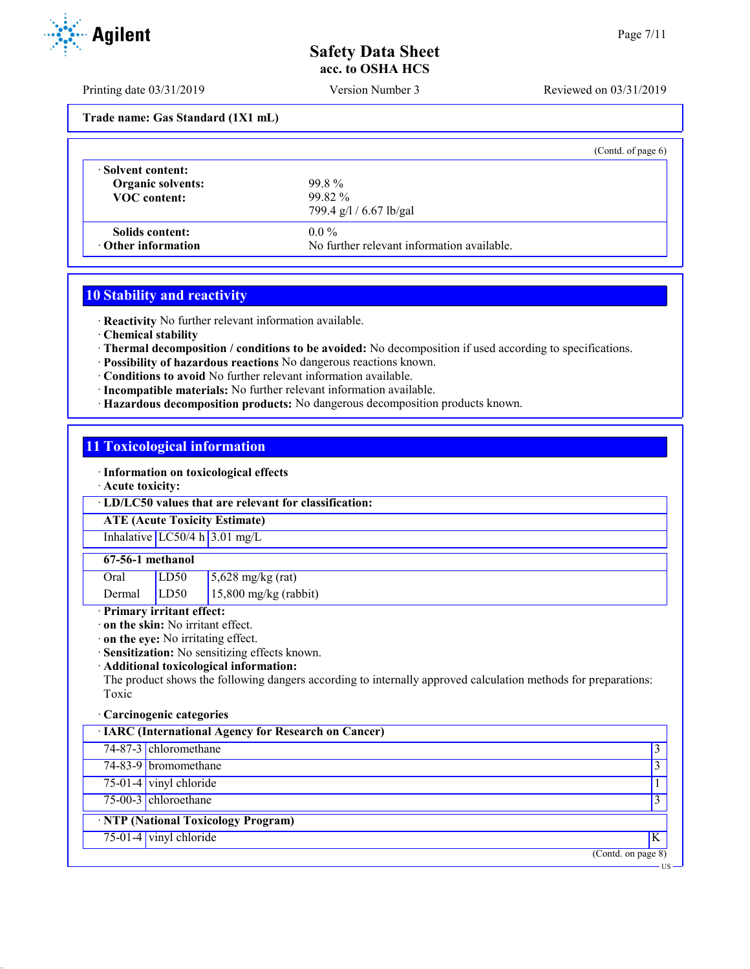Printing date 03/31/2019 Version Number 3 Reviewed on 03/31/2019

**Trade name: Gas Standard (1X1 mL)**

|                           | (Contd. of page 6)                         |
|---------------------------|--------------------------------------------|
| Solvent content:          | 99.8%                                      |
| <b>Organic solvents:</b>  | 99.82 %                                    |
| <b>VOC</b> content:       | 799.4 g/l / 6.67 lb/gal                    |
| Solids content:           | $0.0\%$                                    |
| $\cdot$ Other information | No further relevant information available. |

## **10 Stability and reactivity**

· **Reactivity** No further relevant information available.

· **Chemical stability**

- · **Thermal decomposition / conditions to be avoided:** No decomposition if used according to specifications.
- · **Possibility of hazardous reactions** No dangerous reactions known.
- · **Conditions to avoid** No further relevant information available.
- · **Incompatible materials:** No further relevant information available.
- · **Hazardous decomposition products:** No dangerous decomposition products known.

## **11 Toxicological information**

· **Information on toxicological effects**

#### · **Acute toxicity:**

· **LD/LC50 values that are relevant for classification:**

#### **ATE (Acute Toxicity Estimate)**

Inhalative  $LC50/4$  h  $3.01$  mg/L

#### **67-56-1 methanol**

Oral LD50 5,628 mg/kg (rat)

Dermal  $LD50$  15,800 mg/kg (rabbit)

#### · **Primary irritant effect:**

· **on the skin:** No irritant effect.

· **on the eye:** No irritating effect.

· **Sensitization:** No sensitizing effects known.

· **Additional toxicological information:**

The product shows the following dangers according to internally approved calculation methods for preparations: Toxic

### · **Carcinogenic categories**

| · IARC (International Agency for Research on Cancer) |                                        |
|------------------------------------------------------|----------------------------------------|
| 74-87-3 chloromethane                                | 3                                      |
| 74-83-9 bromomethane                                 |                                        |
| $75-01-4$ vinyl chloride                             |                                        |
| 75-00-3 chloroethane                                 |                                        |
| <b>NTP</b> (National Toxicology Program)             |                                        |
| $75-01-4$ vinyl chloride                             | Έ                                      |
|                                                      | $\overline{\text{(Contd. on page 8)}}$ |
|                                                      | - US                                   |

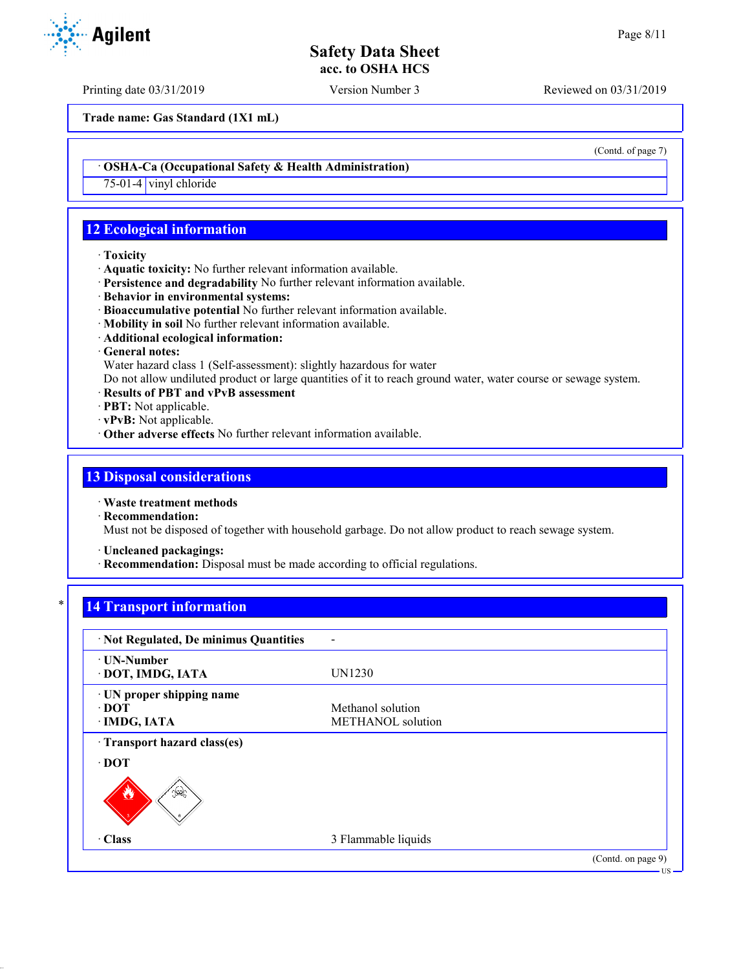Printing date 03/31/2019 Version Number 3 Reviewed on 03/31/2019

**Trade name: Gas Standard (1X1 mL)**

· **OSHA-Ca (Occupational Safety & Health Administration)**

75-01-4 vinyl chloride

## **12 Ecological information**

#### · **Toxicity**

- · **Aquatic toxicity:** No further relevant information available.
- · **Persistence and degradability** No further relevant information available.
- · **Behavior in environmental systems:**
- · **Bioaccumulative potential** No further relevant information available.
- · **Mobility in soil** No further relevant information available.
- · **Additional ecological information:**
- · **General notes:**

Water hazard class 1 (Self-assessment): slightly hazardous for water

Do not allow undiluted product or large quantities of it to reach ground water, water course or sewage system.

- · **Results of PBT and vPvB assessment**
- · **PBT:** Not applicable.
- · **vPvB:** Not applicable.
- · **Other adverse effects** No further relevant information available.

## **13 Disposal considerations**

- · **Waste treatment methods**
- · **Recommendation:**

Must not be disposed of together with household garbage. Do not allow product to reach sewage system.

- · **Uncleaned packagings:**
- · **Recommendation:** Disposal must be made according to official regulations.

## **14 Transport information**

| · Not Regulated, De minimus Quantities                   |                                        |
|----------------------------------------------------------|----------------------------------------|
| · UN-Number<br>· DOT, IMDG, IATA                         | UN1230                                 |
| · UN proper shipping name<br>$\cdot$ DOT<br>· IMDG, IATA | Methanol solution<br>METHANOL solution |
| Transport hazard class(es)                               |                                        |
| $\cdot$ DOT                                              |                                        |
| 尖                                                        |                                        |
| $\cdot$ Class                                            | 3 Flammable liquids                    |
|                                                          | (Contd. on page 9)                     |
|                                                          | ۰US -                                  |



(Contd. of page 7)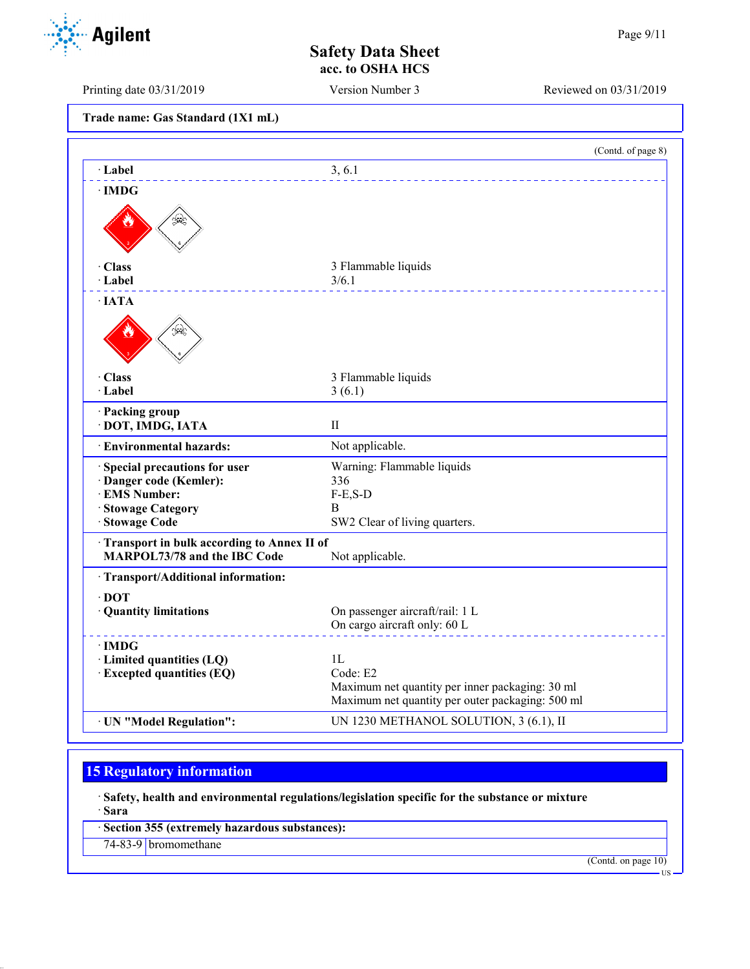Printing date 03/31/2019 Version Number 3 Reviewed on 03/31/2019

**Agilent** 

|  | Trade name: Gas Standard (1X1 mL) |  |
|--|-----------------------------------|--|
|--|-----------------------------------|--|

|                                                                                                                     | (Contd. of page 8)                                                                                                    |
|---------------------------------------------------------------------------------------------------------------------|-----------------------------------------------------------------------------------------------------------------------|
| · Label                                                                                                             | 3, 6.1                                                                                                                |
| $\cdot$ IMDG                                                                                                        |                                                                                                                       |
|                                                                                                                     |                                                                                                                       |
| · Class                                                                                                             | 3 Flammable liquids                                                                                                   |
| · Label                                                                                                             | 3/6.1                                                                                                                 |
| $\cdot$ IATA                                                                                                        |                                                                                                                       |
| · Class                                                                                                             | 3 Flammable liquids                                                                                                   |
| · Label                                                                                                             | 3(6.1)                                                                                                                |
| · Packing group<br>· DOT, IMDG, IATA                                                                                | $\rm II$                                                                                                              |
| · Environmental hazards:                                                                                            | Not applicable.                                                                                                       |
| Special precautions for user<br>Danger code (Kemler):<br>· EMS Number:<br><b>Stowage Category</b><br>· Stowage Code | Warning: Flammable liquids<br>336<br>$F-E, S-D$<br>B<br>SW2 Clear of living quarters.                                 |
| Transport in bulk according to Annex II of<br><b>MARPOL73/78 and the IBC Code</b>                                   | Not applicable.                                                                                                       |
| · Transport/Additional information:<br>∙ DOT<br>· Quantity limitations                                              | On passenger aircraft/rail: 1 L<br>On cargo aircraft only: 60 L                                                       |
| $\cdot$ IMDG<br>· Limited quantities (LQ)<br>· Excepted quantities (EQ)                                             | 1L<br>Code: E2<br>Maximum net quantity per inner packaging: 30 ml<br>Maximum net quantity per outer packaging: 500 ml |
| · UN "Model Regulation":                                                                                            | UN 1230 METHANOL SOLUTION, 3 (6.1), II                                                                                |

# **15 Regulatory information**

· **Safety, health and environmental regulations/legislation specific for the substance or mixture**

· **Sara**

· **Section 355 (extremely hazardous substances):**

74-83-9 bromomethane

(Contd. on page 10)

US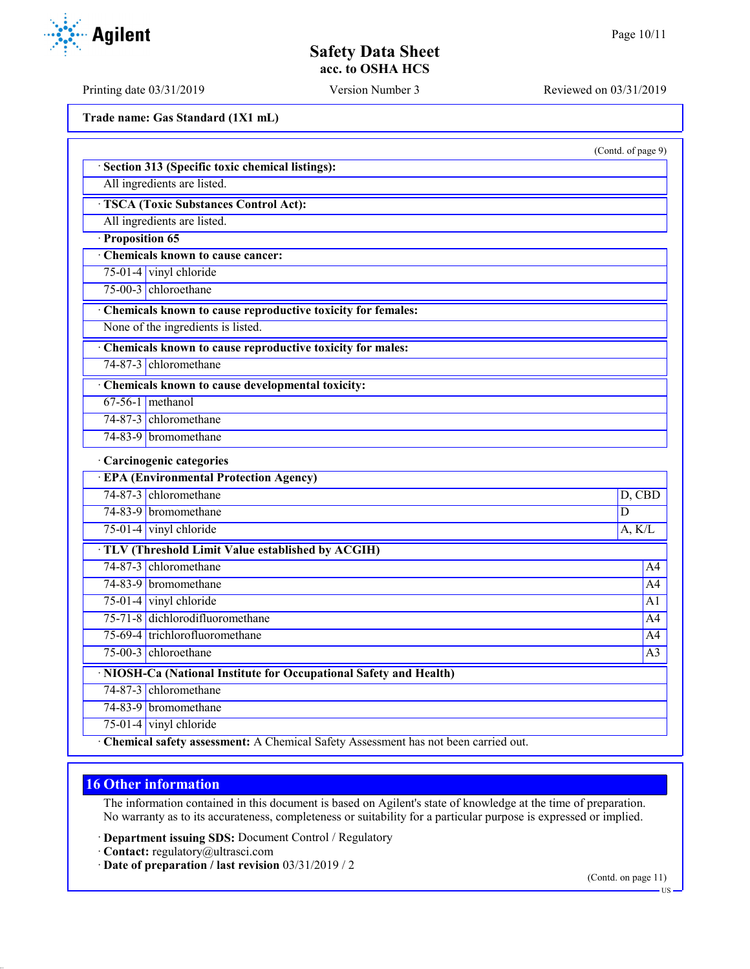Printing date 03/31/2019 Version Number 3 Reviewed on 03/31/2019

**Agilent** 

**Trade name: Gas Standard (1X1 mL)**

|                                                                                      | (Contd. of page 9) |
|--------------------------------------------------------------------------------------|--------------------|
| · Section 313 (Specific toxic chemical listings):                                    |                    |
| All ingredients are listed.                                                          |                    |
| <b>TSCA (Toxic Substances Control Act):</b>                                          |                    |
| All ingredients are listed.                                                          |                    |
| · Proposition 65                                                                     |                    |
| Chemicals known to cause cancer:                                                     |                    |
| $75-01-4$ vinyl chloride                                                             |                    |
| 75-00-3 chloroethane                                                                 |                    |
| Chemicals known to cause reproductive toxicity for females:                          |                    |
| None of the ingredients is listed.                                                   |                    |
| Chemicals known to cause reproductive toxicity for males:                            |                    |
| 74-87-3 chloromethane                                                                |                    |
| Chemicals known to cause developmental toxicity:                                     |                    |
| $67-56-1$ methanol                                                                   |                    |
| 74-87-3 chloromethane                                                                |                    |
| 74-83-9 bromomethane                                                                 |                    |
| · Carcinogenic categories                                                            |                    |
| <b>EPA (Environmental Protection Agency)</b>                                         |                    |
| 74-87-3 chloromethane                                                                | D, CBD             |
| 74-83-9 bromomethane                                                                 | $\overline{D}$     |
| 75-01-4 vinyl chloride                                                               | A, K/L             |
| · TLV (Threshold Limit Value established by ACGIH)                                   |                    |
| 74-87-3 chloromethane                                                                | A4                 |
| 74-83-9 bromomethane                                                                 | A4                 |
| 75-01-4 vinyl chloride                                                               | A1                 |
| 75-71-8 dichlorodifluoromethane                                                      | A4                 |
| 75-69-4 trichlorofluoromethane                                                       | A <sup>4</sup>     |
| 75-00-3 chloroethane                                                                 | $\overline{A3}$    |
| · NIOSH-Ca (National Institute for Occupational Safety and Health)                   |                    |
| 74-87-3 chloromethane                                                                |                    |
| 74-83-9 bromomethane                                                                 |                    |
| $75-01-4$ vinyl chloride                                                             |                    |
| · Chemical safety assessment: A Chemical Safety Assessment has not been carried out. |                    |

## **16 Other information**

The information contained in this document is based on Agilent's state of knowledge at the time of preparation. No warranty as to its accurateness, completeness or suitability for a particular purpose is expressed or implied.

· **Department issuing SDS:** Document Control / Regulatory

· **Contact:** regulatory@ultrasci.com

· **Date of preparation / last revision** 03/31/2019 / 2

(Contd. on page 11)

US